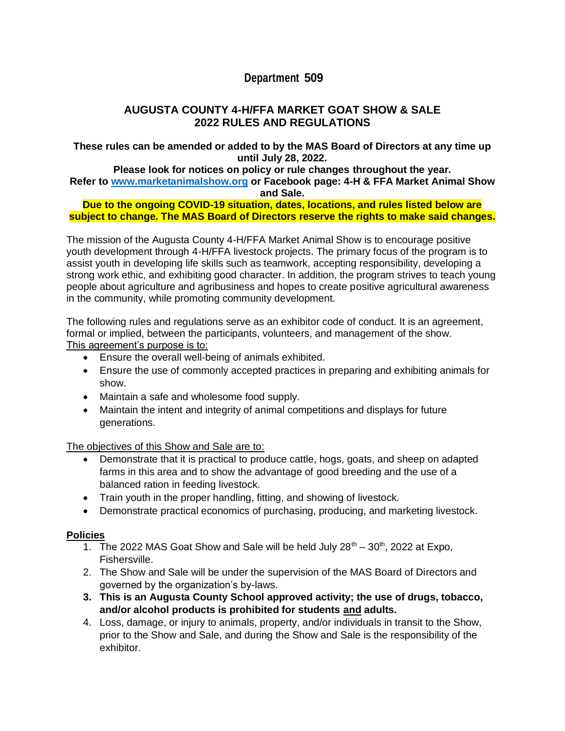# **Department 509**

# **AUGUSTA COUNTY 4-H/FFA MARKET GOAT SHOW & SALE 2022 RULES AND REGULATIONS**

**These rules can be amended or added to by the MAS Board of Directors at any time up until July 28, 2022.**

#### **Please look for notices on policy or rule changes throughout the year. Refer to [www.marketanimalshow.org](http://www.marketanimalshow.org/) or Facebook page: 4-H & FFA Market Animal Show and Sale.**

#### **Due to the ongoing COVID-19 situation, dates, locations, and rules listed below are subject to change. The MAS Board of Directors reserve the rights to make said changes.**

The mission of the Augusta County 4-H/FFA Market Animal Show is to encourage positive youth development through 4-H/FFA livestock projects. The primary focus of the program is to assist youth in developing life skills such as teamwork, accepting responsibility, developing a strong work ethic, and exhibiting good character. In addition, the program strives to teach young people about agriculture and agribusiness and hopes to create positive agricultural awareness in the community, while promoting community development.

The following rules and regulations serve as an exhibitor code of conduct. It is an agreement, formal or implied, between the participants, volunteers, and management of the show. This agreement's purpose is to:

- Ensure the overall well-being of animals exhibited.
- Ensure the use of commonly accepted practices in preparing and exhibiting animals for show.
- Maintain a safe and wholesome food supply.
- Maintain the intent and integrity of animal competitions and displays for future generations.

The objectives of this Show and Sale are to:

- Demonstrate that it is practical to produce cattle, hogs, goats, and sheep on adapted farms in this area and to show the advantage of good breeding and the use of a balanced ration in feeding livestock.
- Train youth in the proper handling, fitting, and showing of livestock.
- Demonstrate practical economics of purchasing, producing, and marketing livestock.

### **Policies**

- 1. The 2022 MAS Goat Show and Sale will be held July  $28<sup>th</sup> 30<sup>th</sup>$ , 2022 at Expo, Fishersville.
- 2. The Show and Sale will be under the supervision of the MAS Board of Directors and governed by the organization's by-laws.
- **3. This is an Augusta County School approved activity; the use of drugs, tobacco, and/or alcohol products is prohibited for students and adults.**
- 4. Loss, damage, or injury to animals, property, and/or individuals in transit to the Show, prior to the Show and Sale, and during the Show and Sale is the responsibility of the exhibitor.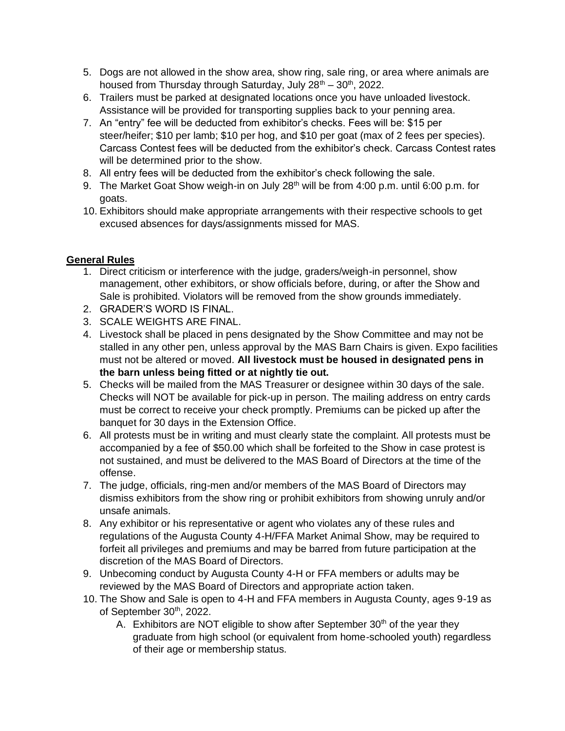- 5. Dogs are not allowed in the show area, show ring, sale ring, or area where animals are housed from Thursday through Saturday, July  $28^{th} - 30^{th}$ , 2022.
- 6. Trailers must be parked at designated locations once you have unloaded livestock. Assistance will be provided for transporting supplies back to your penning area.
- 7. An "entry" fee will be deducted from exhibitor's checks. Fees will be: \$15 per steer/heifer; \$10 per lamb; \$10 per hog, and \$10 per goat (max of 2 fees per species). Carcass Contest fees will be deducted from the exhibitor's check. Carcass Contest rates will be determined prior to the show.
- 8. All entry fees will be deducted from the exhibitor's check following the sale.
- 9. The Market Goat Show weigh-in on July 28<sup>th</sup> will be from 4:00 p.m. until 6:00 p.m. for goats.
- 10. Exhibitors should make appropriate arrangements with their respective schools to get excused absences for days/assignments missed for MAS.

## **General Rules**

- 1. Direct criticism or interference with the judge, graders/weigh-in personnel, show management, other exhibitors, or show officials before, during, or after the Show and Sale is prohibited. Violators will be removed from the show grounds immediately.
- 2. GRADER'S WORD IS FINAL.
- 3. SCALE WEIGHTS ARE FINAL.
- 4. Livestock shall be placed in pens designated by the Show Committee and may not be stalled in any other pen, unless approval by the MAS Barn Chairs is given. Expo facilities must not be altered or moved. **All livestock must be housed in designated pens in the barn unless being fitted or at nightly tie out.**
- 5. Checks will be mailed from the MAS Treasurer or designee within 30 days of the sale. Checks will NOT be available for pick-up in person. The mailing address on entry cards must be correct to receive your check promptly. Premiums can be picked up after the banquet for 30 days in the Extension Office.
- 6. All protests must be in writing and must clearly state the complaint. All protests must be accompanied by a fee of \$50.00 which shall be forfeited to the Show in case protest is not sustained, and must be delivered to the MAS Board of Directors at the time of the offense.
- 7. The judge, officials, ring-men and/or members of the MAS Board of Directors may dismiss exhibitors from the show ring or prohibit exhibitors from showing unruly and/or unsafe animals.
- 8. Any exhibitor or his representative or agent who violates any of these rules and regulations of the Augusta County 4-H/FFA Market Animal Show, may be required to forfeit all privileges and premiums and may be barred from future participation at the discretion of the MAS Board of Directors.
- 9. Unbecoming conduct by Augusta County 4-H or FFA members or adults may be reviewed by the MAS Board of Directors and appropriate action taken.
- 10. The Show and Sale is open to 4-H and FFA members in Augusta County, ages 9-19 as of September 30<sup>th</sup>, 2022.
	- A. Exhibitors are NOT eligible to show after September  $30<sup>th</sup>$  of the year they graduate from high school (or equivalent from home-schooled youth) regardless of their age or membership status.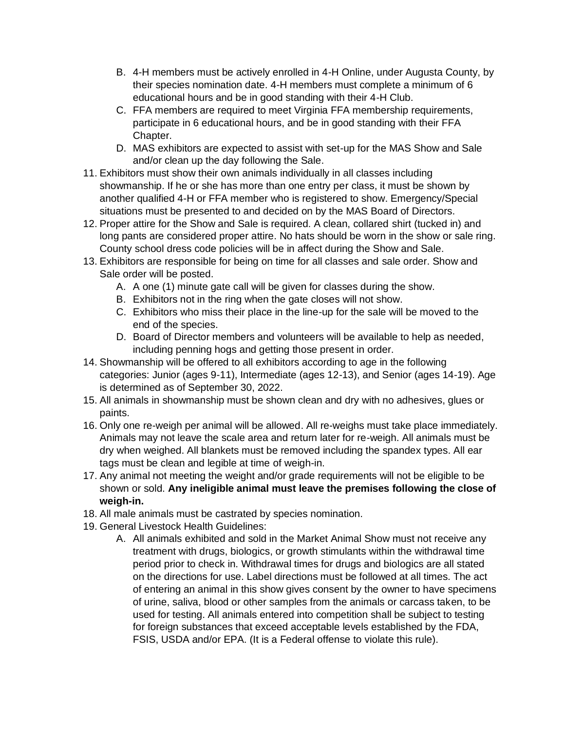- B. 4-H members must be actively enrolled in 4-H Online, under Augusta County, by their species nomination date. 4-H members must complete a minimum of 6 educational hours and be in good standing with their 4-H Club.
- C. FFA members are required to meet Virginia FFA membership requirements, participate in 6 educational hours, and be in good standing with their FFA Chapter.
- D. MAS exhibitors are expected to assist with set-up for the MAS Show and Sale and/or clean up the day following the Sale.
- 11. Exhibitors must show their own animals individually in all classes including showmanship. If he or she has more than one entry per class, it must be shown by another qualified 4-H or FFA member who is registered to show. Emergency/Special situations must be presented to and decided on by the MAS Board of Directors.
- 12. Proper attire for the Show and Sale is required. A clean, collared shirt (tucked in) and long pants are considered proper attire. No hats should be worn in the show or sale ring. County school dress code policies will be in affect during the Show and Sale.
- 13. Exhibitors are responsible for being on time for all classes and sale order. Show and Sale order will be posted.
	- A. A one (1) minute gate call will be given for classes during the show.
	- B. Exhibitors not in the ring when the gate closes will not show.
	- C. Exhibitors who miss their place in the line-up for the sale will be moved to the end of the species.
	- D. Board of Director members and volunteers will be available to help as needed, including penning hogs and getting those present in order.
- 14. Showmanship will be offered to all exhibitors according to age in the following categories: Junior (ages 9-11), Intermediate (ages 12-13), and Senior (ages 14-19). Age is determined as of September 30, 2022.
- 15. All animals in showmanship must be shown clean and dry with no adhesives, glues or paints.
- 16. Only one re-weigh per animal will be allowed. All re-weighs must take place immediately. Animals may not leave the scale area and return later for re-weigh. All animals must be dry when weighed. All blankets must be removed including the spandex types. All ear tags must be clean and legible at time of weigh-in.
- 17. Any animal not meeting the weight and/or grade requirements will not be eligible to be shown or sold. **Any ineligible animal must leave the premises following the close of weigh-in.**
- 18. All male animals must be castrated by species nomination.
- 19. General Livestock Health Guidelines:
	- A. All animals exhibited and sold in the Market Animal Show must not receive any treatment with drugs, biologics, or growth stimulants within the withdrawal time period prior to check in. Withdrawal times for drugs and biologics are all stated on the directions for use. Label directions must be followed at all times. The act of entering an animal in this show gives consent by the owner to have specimens of urine, saliva, blood or other samples from the animals or carcass taken, to be used for testing. All animals entered into competition shall be subject to testing for foreign substances that exceed acceptable levels established by the FDA, FSIS, USDA and/or EPA. (It is a Federal offense to violate this rule).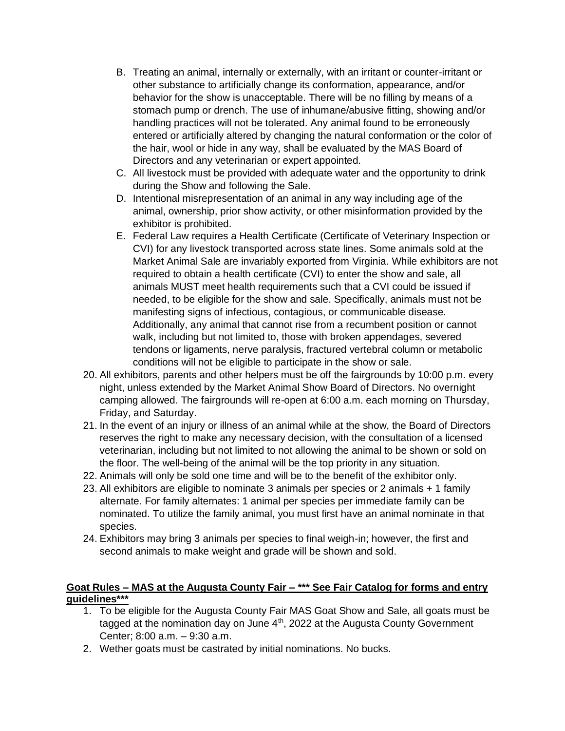- B. Treating an animal, internally or externally, with an irritant or counter-irritant or other substance to artificially change its conformation, appearance, and/or behavior for the show is unacceptable. There will be no filling by means of a stomach pump or drench. The use of inhumane/abusive fitting, showing and/or handling practices will not be tolerated. Any animal found to be erroneously entered or artificially altered by changing the natural conformation or the color of the hair, wool or hide in any way, shall be evaluated by the MAS Board of Directors and any veterinarian or expert appointed.
- C. All livestock must be provided with adequate water and the opportunity to drink during the Show and following the Sale.
- D. Intentional misrepresentation of an animal in any way including age of the animal, ownership, prior show activity, or other misinformation provided by the exhibitor is prohibited.
- E. Federal Law requires a Health Certificate (Certificate of Veterinary Inspection or CVI) for any livestock transported across state lines. Some animals sold at the Market Animal Sale are invariably exported from Virginia. While exhibitors are not required to obtain a health certificate (CVI) to enter the show and sale, all animals MUST meet health requirements such that a CVI could be issued if needed, to be eligible for the show and sale. Specifically, animals must not be manifesting signs of infectious, contagious, or communicable disease. Additionally, any animal that cannot rise from a recumbent position or cannot walk, including but not limited to, those with broken appendages, severed tendons or ligaments, nerve paralysis, fractured vertebral column or metabolic conditions will not be eligible to participate in the show or sale.
- 20. All exhibitors, parents and other helpers must be off the fairgrounds by 10:00 p.m. every night, unless extended by the Market Animal Show Board of Directors. No overnight camping allowed. The fairgrounds will re-open at 6:00 a.m. each morning on Thursday, Friday, and Saturday.
- 21. In the event of an injury or illness of an animal while at the show, the Board of Directors reserves the right to make any necessary decision, with the consultation of a licensed veterinarian, including but not limited to not allowing the animal to be shown or sold on the floor. The well-being of the animal will be the top priority in any situation.
- 22. Animals will only be sold one time and will be to the benefit of the exhibitor only.
- 23. All exhibitors are eligible to nominate 3 animals per species or 2 animals + 1 family alternate. For family alternates: 1 animal per species per immediate family can be nominated. To utilize the family animal, you must first have an animal nominate in that species.
- 24. Exhibitors may bring 3 animals per species to final weigh-in; however, the first and second animals to make weight and grade will be shown and sold.

### **Goat Rules – MAS at the Augusta County Fair – \*\*\* See Fair Catalog for forms and entry guidelines\*\*\***

- 1. To be eligible for the Augusta County Fair MAS Goat Show and Sale, all goats must be tagged at the nomination day on June 4<sup>th</sup>, 2022 at the Augusta County Government Center; 8:00 a.m. – 9:30 a.m.
- 2. Wether goats must be castrated by initial nominations. No bucks.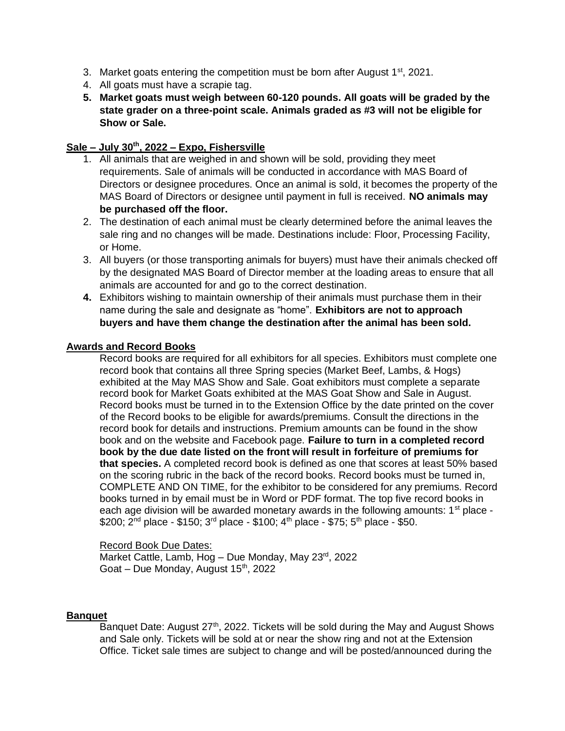- 3. Market goats entering the competition must be born after August  $1<sup>st</sup>$ , 2021.
- 4. All goats must have a scrapie tag.
- **5. Market goats must weigh between 60-120 pounds. All goats will be graded by the state grader on a three-point scale. Animals graded as #3 will not be eligible for Show or Sale.**

# **Sale – July 30th, 2022 – Expo, Fishersville**

- 1. All animals that are weighed in and shown will be sold, providing they meet requirements. Sale of animals will be conducted in accordance with MAS Board of Directors or designee procedures. Once an animal is sold, it becomes the property of the MAS Board of Directors or designee until payment in full is received. **NO animals may be purchased off the floor.**
- 2. The destination of each animal must be clearly determined before the animal leaves the sale ring and no changes will be made. Destinations include: Floor, Processing Facility, or Home.
- 3. All buyers (or those transporting animals for buyers) must have their animals checked off by the designated MAS Board of Director member at the loading areas to ensure that all animals are accounted for and go to the correct destination.
- **4.** Exhibitors wishing to maintain ownership of their animals must purchase them in their name during the sale and designate as "home". **Exhibitors are not to approach buyers and have them change the destination after the animal has been sold.**

### **Awards and Record Books**

Record books are required for all exhibitors for all species. Exhibitors must complete one record book that contains all three Spring species (Market Beef, Lambs, & Hogs) exhibited at the May MAS Show and Sale. Goat exhibitors must complete a separate record book for Market Goats exhibited at the MAS Goat Show and Sale in August. Record books must be turned in to the Extension Office by the date printed on the cover of the Record books to be eligible for awards/premiums. Consult the directions in the record book for details and instructions. Premium amounts can be found in the show book and on the website and Facebook page. **Failure to turn in a completed record book by the due date listed on the front will result in forfeiture of premiums for that species.** A completed record book is defined as one that scores at least 50% based on the scoring rubric in the back of the record books. Record books must be turned in, COMPLETE AND ON TIME, for the exhibitor to be considered for any premiums. Record books turned in by email must be in Word or PDF format. The top five record books in each age division will be awarded monetary awards in the following amounts:  $1<sup>st</sup>$  place - $$200; 2<sup>nd</sup>$  place - \$150; 3<sup>rd</sup> place - \$100; 4<sup>th</sup> place - \$75; 5<sup>th</sup> place - \$50.

Record Book Due Dates: Market Cattle, Lamb, Hog  $-$  Due Monday, May 23 $rd$ , 2022 Goat – Due Monday, August  $15<sup>th</sup>$ , 2022

#### **Banquet**

Banquet Date: August 27<sup>th</sup>, 2022. Tickets will be sold during the May and August Shows and Sale only. Tickets will be sold at or near the show ring and not at the Extension Office. Ticket sale times are subject to change and will be posted/announced during the